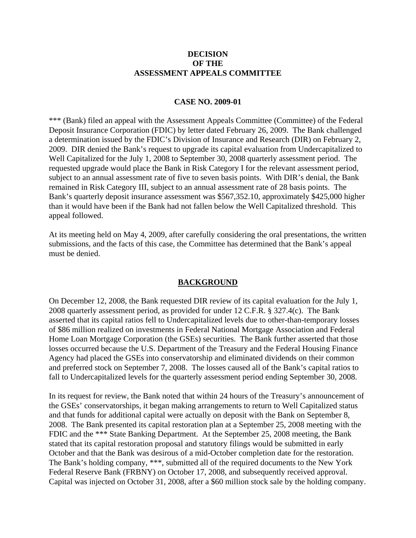### **DECISION OF THE ASSESSMENT APPEALS COMMITTEE**

### **CASE NO. 2009-01**

\*\*\* (Bank) filed an appeal with the Assessment Appeals Committee (Committee) of the Federal Deposit Insurance Corporation (FDIC) by letter dated February 26, 2009. The Bank challenged a determination issued by the FDIC's Division of Insurance and Research (DIR) on February 2, 2009. DIR denied the Bank's request to upgrade its capital evaluation from Undercapitalized to Well Capitalized for the July 1, 2008 to September 30, 2008 quarterly assessment period. The requested upgrade would place the Bank in Risk Category I for the relevant assessment period, subject to an annual assessment rate of five to seven basis points. With DIR's denial, the Bank remained in Risk Category III, subject to an annual assessment rate of 28 basis points. The Bank's quarterly deposit insurance assessment was \$567,352.10, approximately \$425,000 higher than it would have been if the Bank had not fallen below the Well Capitalized threshold. This appeal followed.

At its meeting held on May 4, 2009, after carefully considering the oral presentations, the written submissions, and the facts of this case, the Committee has determined that the Bank's appeal must be denied.

#### **BACKGROUND**

On December 12, 2008, the Bank requested DIR review of its capital evaluation for the July 1, 2008 quarterly assessment period, as provided for under 12 C.F.R. § 327.4(c). The Bank asserted that its capital ratios fell to Undercapitalized levels due to other-than-temporary losses of \$86 million realized on investments in Federal National Mortgage Association and Federal Home Loan Mortgage Corporation (the GSEs) securities. The Bank further asserted that those losses occurred because the U.S. Department of the Treasury and the Federal Housing Finance Agency had placed the GSEs into conservatorship and eliminated dividends on their common and preferred stock on September 7, 2008. The losses caused all of the Bank's capital ratios to fall to Undercapitalized levels for the quarterly assessment period ending September 30, 2008.

In its request for review, the Bank noted that within 24 hours of the Treasury's announcement of the GSEs' conservatorships, it began making arrangements to return to Well Capitalized status and that funds for additional capital were actually on deposit with the Bank on September 8, 2008. The Bank presented its capital restoration plan at a September 25, 2008 meeting with the FDIC and the \*\*\* State Banking Department. At the September 25, 2008 meeting, the Bank stated that its capital restoration proposal and statutory filings would be submitted in early October and that the Bank was desirous of a mid-October completion date for the restoration. The Bank's holding company, \*\*\*, submitted all of the required documents to the New York Federal Reserve Bank (FRBNY) on October 17, 2008, and subsequently received approval. Capital was injected on October 31, 2008, after a \$60 million stock sale by the holding company.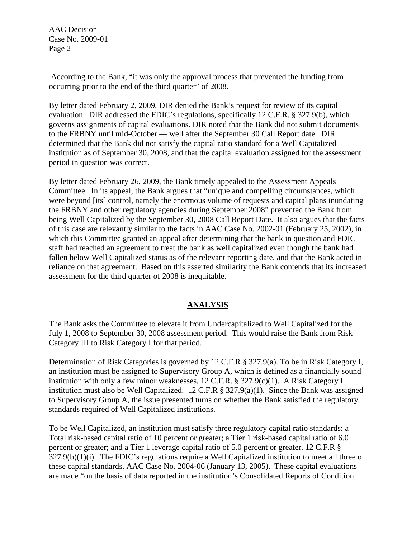According to the Bank, "it was only the approval process that prevented the funding from occurring prior to the end of the third quarter" of 2008.

By letter dated February 2, 2009, DIR denied the Bank's request for review of its capital evaluation. DIR addressed the FDIC's regulations, specifically 12 C.F.R. § 327.9(b), which governs assignments of capital evaluations. DIR noted that the Bank did not submit documents to the FRBNY until mid-October — well after the September 30 Call Report date. DIR determined that the Bank did not satisfy the capital ratio standard for a Well Capitalized institution as of September 30, 2008, and that the capital evaluation assigned for the assessment period in question was correct.

By letter dated February 26, 2009, the Bank timely appealed to the Assessment Appeals Committee. In its appeal, the Bank argues that "unique and compelling circumstances, which were beyond [its] control, namely the enormous volume of requests and capital plans inundating the FRBNY and other regulatory agencies during September 2008" prevented the Bank from being Well Capitalized by the September 30, 2008 Call Report Date. It also argues that the facts of this case are relevantly similar to the facts in AAC Case No. 2002-01 (February 25, 2002), in which this Committee granted an appeal after determining that the bank in question and FDIC staff had reached an agreement to treat the bank as well capitalized even though the bank had fallen below Well Capitalized status as of the relevant reporting date, and that the Bank acted in reliance on that agreement. Based on this asserted similarity the Bank contends that its increased assessment for the third quarter of 2008 is inequitable.

# **ANALYSIS**

The Bank asks the Committee to elevate it from Undercapitalized to Well Capitalized for the July 1, 2008 to September 30, 2008 assessment period. This would raise the Bank from Risk Category III to Risk Category I for that period.

Determination of Risk Categories is governed by 12 C.F.R § 327.9(a). To be in Risk Category I, an institution must be assigned to Supervisory Group A, which is defined as a financially sound institution with only a few minor weaknesses, 12 C.F.R. § 327.9(c)(1). A Risk Category I institution must also be Well Capitalized. 12 C.F.R  $\S$  327.9(a)(1). Since the Bank was assigned to Supervisory Group A, the issue presented turns on whether the Bank satisfied the regulatory standards required of Well Capitalized institutions.

To be Well Capitalized, an institution must satisfy three regulatory capital ratio standards: a Total risk-based capital ratio of 10 percent or greater; a Tier 1 risk-based capital ratio of 6.0 percent or greater; and a Tier 1 leverage capital ratio of 5.0 percent or greater. 12 C.F.R § 327.9(b)(1)(i). The FDIC's regulations require a Well Capitalized institution to meet all three of these capital standards. AAC Case No. 2004-06 (January 13, 2005). These capital evaluations are made "on the basis of data reported in the institution's Consolidated Reports of Condition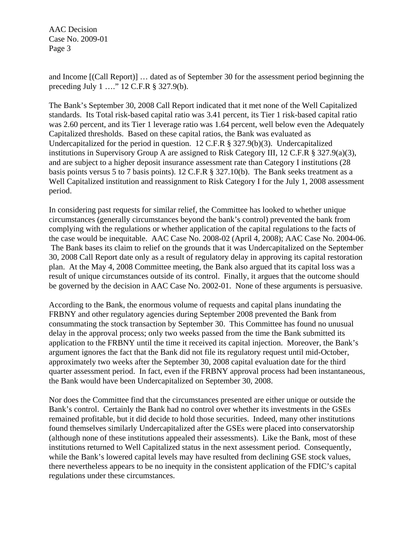and Income [(Call Report)] … dated as of September 30 for the assessment period beginning the preceding July 1 …." 12 C.F.R § 327.9(b).

The Bank's September 30, 2008 Call Report indicated that it met none of the Well Capitalized standards. Its Total risk-based capital ratio was 3.41 percent, its Tier 1 risk-based capital ratio was 2.60 percent, and its Tier 1 leverage ratio was 1.64 percent, well below even the Adequately Capitalized thresholds. Based on these capital ratios, the Bank was evaluated as Undercapitalized for the period in question. 12 C.F.R § 327.9(b)(3). Undercapitalized institutions in Supervisory Group A are assigned to Risk Category III, 12 C.F.R § 327.9(a)(3), and are subject to a higher deposit insurance assessment rate than Category I institutions (28 basis points versus 5 to 7 basis points). 12 C.F.R § 327.10(b). The Bank seeks treatment as a Well Capitalized institution and reassignment to Risk Category I for the July 1, 2008 assessment period.

In considering past requests for similar relief, the Committee has looked to whether unique circumstances (generally circumstances beyond the bank's control) prevented the bank from complying with the regulations or whether application of the capital regulations to the facts of the case would be inequitable. AAC Case No. 2008-02 (April 4, 2008); AAC Case No. 2004-06. The Bank bases its claim to relief on the grounds that it was Undercapitalized on the September 30, 2008 Call Report date only as a result of regulatory delay in approving its capital restoration plan. At the May 4, 2008 Committee meeting, the Bank also argued that its capital loss was a result of unique circumstances outside of its control. Finally, it argues that the outcome should be governed by the decision in AAC Case No. 2002-01. None of these arguments is persuasive.

According to the Bank, the enormous volume of requests and capital plans inundating the FRBNY and other regulatory agencies during September 2008 prevented the Bank from consummating the stock transaction by September 30. This Committee has found no unusual delay in the approval process; only two weeks passed from the time the Bank submitted its application to the FRBNY until the time it received its capital injection. Moreover, the Bank's argument ignores the fact that the Bank did not file its regulatory request until mid-October, approximately two weeks after the September 30, 2008 capital evaluation date for the third quarter assessment period. In fact, even if the FRBNY approval process had been instantaneous, the Bank would have been Undercapitalized on September 30, 2008.

Nor does the Committee find that the circumstances presented are either unique or outside the Bank's control. Certainly the Bank had no control over whether its investments in the GSEs remained profitable, but it did decide to hold those securities. Indeed, many other institutions found themselves similarly Undercapitalized after the GSEs were placed into conservatorship (although none of these institutions appealed their assessments). Like the Bank, most of these institutions returned to Well Capitalized status in the next assessment period. Consequently, while the Bank's lowered capital levels may have resulted from declining GSE stock values, there nevertheless appears to be no inequity in the consistent application of the FDIC's capital regulations under these circumstances.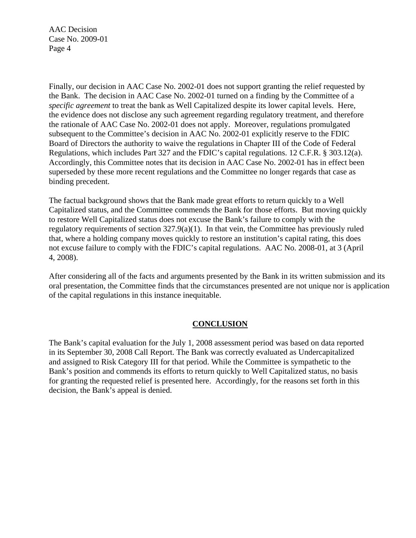Finally, our decision in AAC Case No. 2002-01 does not support granting the relief requested by the Bank. The decision in AAC Case No. 2002-01 turned on a finding by the Committee of a *specific agreement* to treat the bank as Well Capitalized despite its lower capital levels. Here, the evidence does not disclose any such agreement regarding regulatory treatment, and therefore the rationale of AAC Case No. 2002-01 does not apply. Moreover, regulations promulgated subsequent to the Committee's decision in AAC No. 2002-01 explicitly reserve to the FDIC Board of Directors the authority to waive the regulations in Chapter III of the Code of Federal Regulations, which includes Part 327 and the FDIC's capital regulations. 12 C.F.R. § 303.12(a). Accordingly, this Committee notes that its decision in AAC Case No. 2002-01 has in effect been superseded by these more recent regulations and the Committee no longer regards that case as binding precedent.

The factual background shows that the Bank made great efforts to return quickly to a Well Capitalized status, and the Committee commends the Bank for those efforts. But moving quickly to restore Well Capitalized status does not excuse the Bank's failure to comply with the regulatory requirements of section 327.9(a)(1). In that vein, the Committee has previously ruled that, where a holding company moves quickly to restore an institution's capital rating, this does not excuse failure to comply with the FDIC's capital regulations. AAC No. 2008-01, at 3 (April 4, 2008).

After considering all of the facts and arguments presented by the Bank in its written submission and its oral presentation, the Committee finds that the circumstances presented are not unique nor is application of the capital regulations in this instance inequitable.

# **CONCLUSION**

The Bank's capital evaluation for the July 1, 2008 assessment period was based on data reported in its September 30, 2008 Call Report. The Bank was correctly evaluated as Undercapitalized and assigned to Risk Category III for that period. While the Committee is sympathetic to the Bank's position and commends its efforts to return quickly to Well Capitalized status, no basis for granting the requested relief is presented here. Accordingly, for the reasons set forth in this decision, the Bank's appeal is denied.